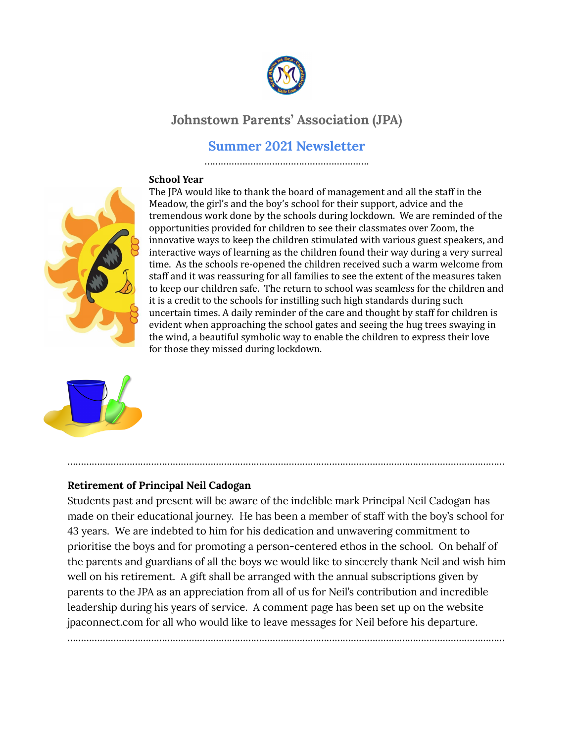

# **Johnstown Parents' Association (JPA)**

# **Summer 2021 Newsletter**

……………………………………………………………

#### **School Year**



The JPA would like to thank the board of management and all the staff in the Meadow, the girl's and the boy's school for their support, advice and the tremendous work done by the schools during lockdown. We are reminded of the opportunities provided for children to see their classmates over Zoom, the innovative ways to keep the children stimulated with various guest speakers, and interactive ways of learning as the children found their way during a very surreal time. As the schools re-opened the children received such a warm welcome from staff and it was reassuring for all families to see the extent of the measures taken to keep our children safe. The return to school was seamless for the children and it is a credit to the schools for instilling such high standards during such uncertain times. A daily reminder of the care and thought by staff for children is evident when approaching the school gates and seeing the hug trees swaying in the wind, a beautiful symbolic way to enable the children to express their love for those they missed during lockdown.



#### **Retirement of Principal Neil Cadogan**

Students past and present will be aware of the indelible mark Principal Neil Cadogan has made on their educational journey. He has been a member of staff with the boy's school for 43 years. We are indebted to him for his dedication and unwavering commitment to prioritise the boys and for promoting a person-centered ethos in the school. On behalf of the parents and guardians of all the boys we would like to sincerely thank Neil and wish him well on his retirement. A gift shall be arranged with the annual subscriptions given by parents to the JPA as an appreciation from all of us for Neil's contribution and incredible leadership during his years of service. A comment page has been set up on the website jpaconnect.com for all who would like to leave messages for Neil before his departure.

………………………………………………………………………………………………………………………………………………

………………………………………………………………………………………………………………………………………………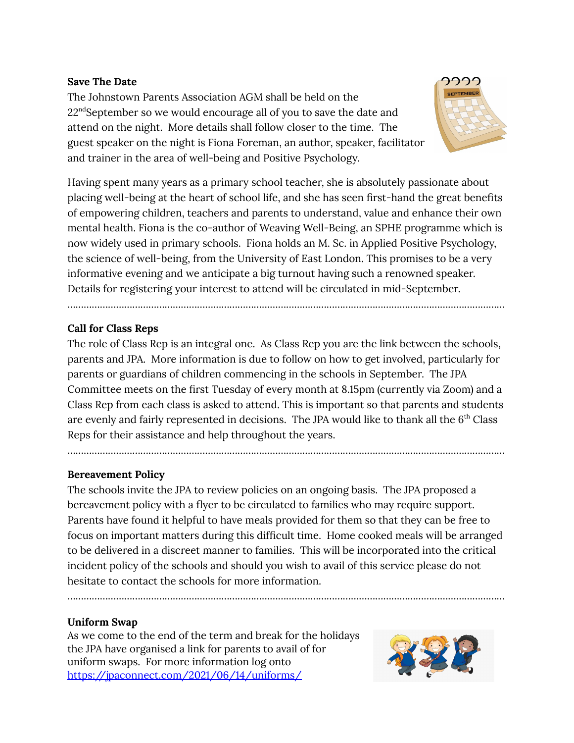#### **Save The Date**

The Johnstown Parents Association AGM shall be held on the  $22^{\text{nd}}$ September so we would encourage all of you to save the date and attend on the night. More details shall follow closer to the time. The guest speaker on the night is Fiona Foreman, an author, speaker, facilitator and trainer in the area of well-being and Positive Psychology.



Having spent many years as a primary school teacher, she is absolutely passionate about placing well-being at the heart of school life, and she has seen first-hand the great benefits of empowering children, teachers and parents to understand, value and enhance their own mental health. Fiona is the co-author of Weaving Well-Being, an SPHE programme which is now widely used in primary schools. Fiona holds an M. Sc. in Applied Positive Psychology, the science of well-being, from the University of East London. This promises to be a very informative evening and we anticipate a big turnout having such a renowned speaker. Details for registering your interest to attend will be circulated in mid-September.

………………………………………………………………………………………………………………………………………………

## **Call for Class Reps**

The role of Class Rep is an integral one. As Class Rep you are the link between the schools, parents and JPA. More information is due to follow on how to get involved, particularly for parents or guardians of children commencing in the schools in September. The JPA Committee meets on the first Tuesday of every month at 8.15pm (currently via Zoom) and a Class Rep from each class is asked to attend. This is important so that parents and students are evenly and fairly represented in decisions. The JPA would like to thank all the  $6<sup>th</sup>$  Class Reps for their assistance and help throughout the years.

………………………………………………………………………………………………………………………………………………

#### **Bereavement Policy**

The schools invite the JPA to review policies on an ongoing basis. The JPA proposed a bereavement policy with a flyer to be circulated to families who may require support. Parents have found it helpful to have meals provided for them so that they can be free to focus on important matters during this difficult time. Home cooked meals will be arranged to be delivered in a discreet manner to families. This will be incorporated into the critical incident policy of the schools and should you wish to avail of this service please do not hesitate to contact the schools for more information.

………………………………………………………………………………………………………………………………………………

#### **Uniform Swap**

As we come to the end of the term and break for the holidays the JPA have organised a link for parents to avail of for uniform swaps. For more information log onto <https://jpaconnect.com/2021/06/14/uniforms/>

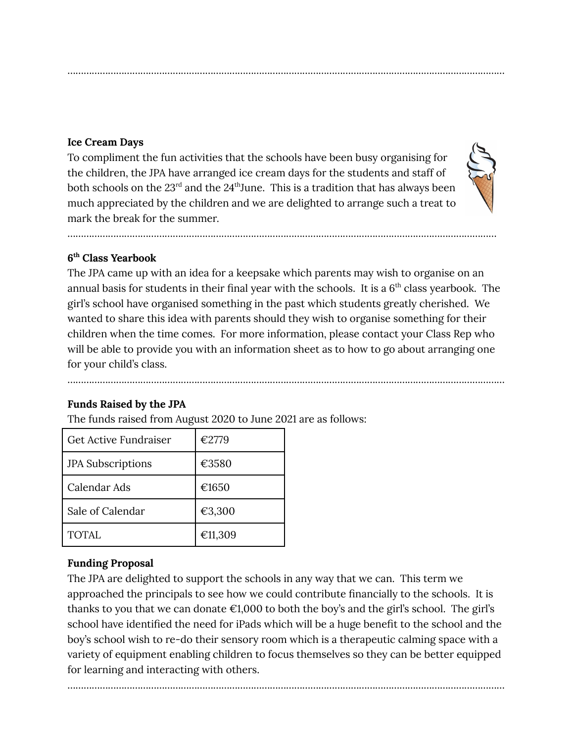### **Ice Cream Days**

To compliment the fun activities that the schools have been busy organising for the children, the JPA have arranged ice cream days for the students and staff of both schools on the  $23^{\text{rd}}$  and the  $24^{\text{th}}$ June. This is a tradition that has always been much appreciated by the children and we are delighted to arrange such a treat to mark the break for the summer.

………………………………………………………………………………………………………………………………………………



## **6 th Class Yearbook**

The JPA came up with an idea for a keepsake which parents may wish to organise on an annual basis for students in their final year with the schools. It is a  $6<sup>th</sup>$  class yearbook. The girl's school have organised something in the past which students greatly cherished. We wanted to share this idea with parents should they wish to organise something for their children when the time comes. For more information, please contact your Class Rep who will be able to provide you with an information sheet as to how to go about arranging one for your child's class.

………………………………………………………………………………………………………………………………………………

……………………………………………………………………………………………………………………………………………

# **Funds Raised by the JPA**

The funds raised from August 2020 to June 2021 are as follows:

| Get Active Fundraiser    | €2779   |
|--------------------------|---------|
| <b>JPA Subscriptions</b> | €3580   |
| Calendar Ads             | €1650   |
| Sale of Calendar         | €3,300  |
| TOTAL.                   | €11,309 |

# **Funding Proposal**

The JPA are delighted to support the schools in any way that we can. This term we approached the principals to see how we could contribute financially to the schools. It is thanks to you that we can donate  $\epsilon$ 1,000 to both the boy's and the girl's school. The girl's school have identified the need for iPads which will be a huge benefit to the school and the boy's school wish to re-do their sensory room which is a therapeutic calming space with a variety of equipment enabling children to focus themselves so they can be better equipped for learning and interacting with others.

………………………………………………………………………………………………………………………………………………